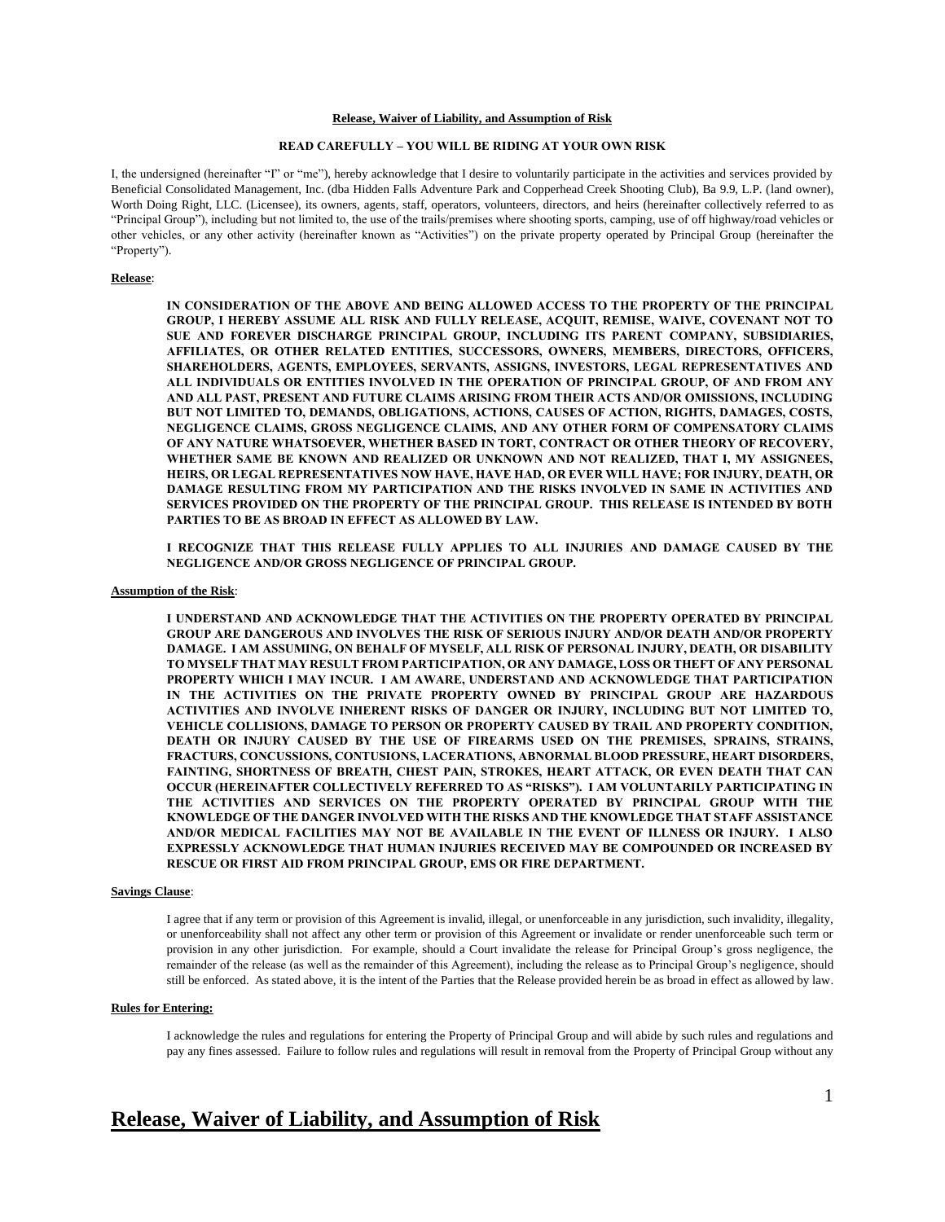## **Release, Waiver of Liability, and Assumption of Risk**

## **READ CAREFULLY – YOU WILL BE RIDING AT YOUR OWN RISK**

I, the undersigned (hereinafter "I" or "me"), hereby acknowledge that I desire to voluntarily participate in the activities and services provided by Beneficial Consolidated Management, Inc. (dba Hidden Falls Adventure Park and Copperhead Creek Shooting Club), Ba 9.9, L.P. (land owner), Worth Doing Right, LLC. (Licensee), its owners, agents, staff, operators, volunteers, directors, and heirs (hereinafter collectively referred to as "Principal Group"), including but not limited to, the use of the trails/premises where shooting sports, camping, use of off highway/road vehicles or other vehicles, or any other activity (hereinafter known as "Activities") on the private property operated by Principal Group (hereinafter the "Property").

# **Release**:

**IN CONSIDERATION OF THE ABOVE AND BEING ALLOWED ACCESS TO THE PROPERTY OF THE PRINCIPAL GROUP, I HEREBY ASSUME ALL RISK AND FULLY RELEASE, ACQUIT, REMISE, WAIVE, COVENANT NOT TO SUE AND FOREVER DISCHARGE PRINCIPAL GROUP, INCLUDING ITS PARENT COMPANY, SUBSIDIARIES, AFFILIATES, OR OTHER RELATED ENTITIES, SUCCESSORS, OWNERS, MEMBERS, DIRECTORS, OFFICERS, SHAREHOLDERS, AGENTS, EMPLOYEES, SERVANTS, ASSIGNS, INVESTORS, LEGAL REPRESENTATIVES AND ALL INDIVIDUALS OR ENTITIES INVOLVED IN THE OPERATION OF PRINCIPAL GROUP, OF AND FROM ANY AND ALL PAST, PRESENT AND FUTURE CLAIMS ARISING FROM THEIR ACTS AND/OR OMISSIONS, INCLUDING BUT NOT LIMITED TO, DEMANDS, OBLIGATIONS, ACTIONS, CAUSES OF ACTION, RIGHTS, DAMAGES, COSTS, NEGLIGENCE CLAIMS, GROSS NEGLIGENCE CLAIMS, AND ANY OTHER FORM OF COMPENSATORY CLAIMS OF ANY NATURE WHATSOEVER, WHETHER BASED IN TORT, CONTRACT OR OTHER THEORY OF RECOVERY, WHETHER SAME BE KNOWN AND REALIZED OR UNKNOWN AND NOT REALIZED, THAT I, MY ASSIGNEES, HEIRS, OR LEGAL REPRESENTATIVES NOW HAVE, HAVE HAD, OR EVER WILL HAVE; FOR INJURY, DEATH, OR DAMAGE RESULTING FROM MY PARTICIPATION AND THE RISKS INVOLVED IN SAME IN ACTIVITIES AND SERVICES PROVIDED ON THE PROPERTY OF THE PRINCIPAL GROUP. THIS RELEASE IS INTENDED BY BOTH PARTIES TO BE AS BROAD IN EFFECT AS ALLOWED BY LAW.**

**I RECOGNIZE THAT THIS RELEASE FULLY APPLIES TO ALL INJURIES AND DAMAGE CAUSED BY THE NEGLIGENCE AND/OR GROSS NEGLIGENCE OF PRINCIPAL GROUP.**

#### **Assumption of the Risk**:

**I UNDERSTAND AND ACKNOWLEDGE THAT THE ACTIVITIES ON THE PROPERTY OPERATED BY PRINCIPAL GROUP ARE DANGEROUS AND INVOLVES THE RISK OF SERIOUS INJURY AND/OR DEATH AND/OR PROPERTY DAMAGE. I AM ASSUMING, ON BEHALF OF MYSELF, ALL RISK OF PERSONAL INJURY, DEATH, OR DISABILITY TO MYSELF THAT MAY RESULT FROM PARTICIPATION, OR ANY DAMAGE, LOSS OR THEFT OF ANY PERSONAL PROPERTY WHICH I MAY INCUR. I AM AWARE, UNDERSTAND AND ACKNOWLEDGE THAT PARTICIPATION IN THE ACTIVITIES ON THE PRIVATE PROPERTY OWNED BY PRINCIPAL GROUP ARE HAZARDOUS ACTIVITIES AND INVOLVE INHERENT RISKS OF DANGER OR INJURY, INCLUDING BUT NOT LIMITED TO, VEHICLE COLLISIONS, DAMAGE TO PERSON OR PROPERTY CAUSED BY TRAIL AND PROPERTY CONDITION, DEATH OR INJURY CAUSED BY THE USE OF FIREARMS USED ON THE PREMISES, SPRAINS, STRAINS, FRACTURS, CONCUSSIONS, CONTUSIONS, LACERATIONS, ABNORMAL BLOOD PRESSURE, HEART DISORDERS, FAINTING, SHORTNESS OF BREATH, CHEST PAIN, STROKES, HEART ATTACK, OR EVEN DEATH THAT CAN OCCUR (HEREINAFTER COLLECTIVELY REFERRED TO AS "RISKS"). I AM VOLUNTARILY PARTICIPATING IN THE ACTIVITIES AND SERVICES ON THE PROPERTY OPERATED BY PRINCIPAL GROUP WITH THE KNOWLEDGE OF THE DANGER INVOLVED WITH THE RISKS AND THE KNOWLEDGE THAT STAFF ASSISTANCE AND/OR MEDICAL FACILITIES MAY NOT BE AVAILABLE IN THE EVENT OF ILLNESS OR INJURY. I ALSO EXPRESSLY ACKNOWLEDGE THAT HUMAN INJURIES RECEIVED MAY BE COMPOUNDED OR INCREASED BY RESCUE OR FIRST AID FROM PRINCIPAL GROUP, EMS OR FIRE DEPARTMENT.** 

# **Savings Clause**:

I agree that if any term or provision of this Agreement is invalid, illegal, or unenforceable in any jurisdiction, such invalidity, illegality, or unenforceability shall not affect any other term or provision of this Agreement or invalidate or render unenforceable such term or provision in any other jurisdiction. For example, should a Court invalidate the release for Principal Group's gross negligence, the remainder of the release (as well as the remainder of this Agreement), including the release as to Principal Group's negligence, should still be enforced. As stated above, it is the intent of the Parties that the Release provided herein be as broad in effect as allowed by law.

#### **Rules for Entering:**

I acknowledge the rules and regulations for entering the Property of Principal Group and will abide by such rules and regulations and pay any fines assessed. Failure to follow rules and regulations will result in removal from the Property of Principal Group without any

# **Release, Waiver of Liability, and Assumption of Risk**